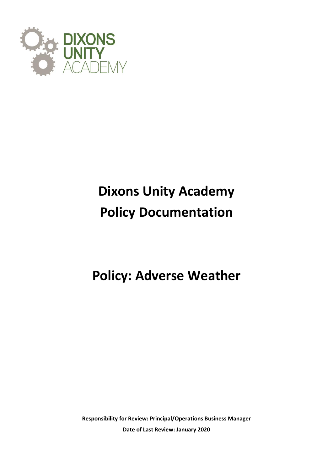

# **Dixons Unity Academy Policy Documentation**

**Policy: Adverse Weather**

**Responsibility for Review: Principal/Operations Business Manager Date of Last Review: January 2020**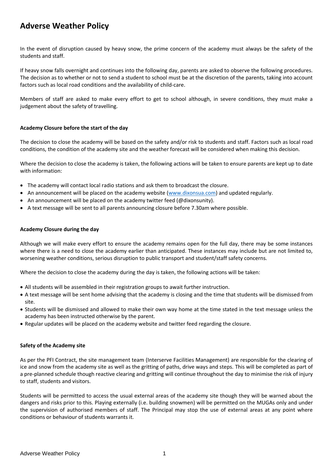# **Adverse Weather Policy**

In the event of disruption caused by heavy snow, the prime concern of the academy must always be the safety of the students and staff.

If heavy snow falls overnight and continues into the following day, parents are asked to observe the following procedures. The decision as to whether or not to send a student to school must be at the discretion of the parents, taking into account factors such as local road conditions and the availability of child-care.

Members of staff are asked to make every effort to get to school although, in severe conditions, they must make a judgement about the safety of travelling.

## **Academy Closure before the start of the day**

The decision to close the academy will be based on the safety and/or risk to students and staff. Factors such as local road conditions, the condition of the academy site and the weather forecast will be considered when making this decision.

Where the decision to close the academy is taken, the following actions will be taken to ensure parents are kept up to date with information:

- The academy will contact local radio stations and ask them to broadcast the closure.
- An announcement will be placed on the academy website [\(www.dixonsua.com\)](http://www.dixonsua.com/) and updated regularly.
- An announcement will be placed on the academy twitter feed (@dixonsunity).
- A text message will be sent to all parents announcing closure before 7.30am where possible.

#### **Academy Closure during the day**

Although we will make every effort to ensure the academy remains open for the full day, there may be some instances where there is a need to close the academy earlier than anticipated. These instances may include but are not limited to, worsening weather conditions, serious disruption to public transport and student/staff safety concerns.

Where the decision to close the academy during the day is taken, the following actions will be taken:

- All students will be assembled in their registration groups to await further instruction.
- A text message will be sent home advising that the academy is closing and the time that students will be dismissed from site.
- Students will be dismissed and allowed to make their own way home at the time stated in the text message unless the academy has been instructed otherwise by the parent.
- Regular updates will be placed on the academy website and twitter feed regarding the closure.

#### **Safety of the Academy site**

As per the PFI Contract, the site management team (Interserve Facilities Management) are responsible for the clearing of ice and snow from the academy site as well as the gritting of paths, drive ways and steps. This will be completed as part of a pre-planned schedule though reactive clearing and gritting will continue throughout the day to minimise the risk of injury to staff, students and visitors.

Students will be permitted to access the usual external areas of the academy site though they will be warned about the dangers and risks prior to this. Playing externally (i.e. building snowmen) will be permitted on the MUGAs only and under the supervision of authorised members of staff. The Principal may stop the use of external areas at any point where conditions or behaviour of students warrants it.